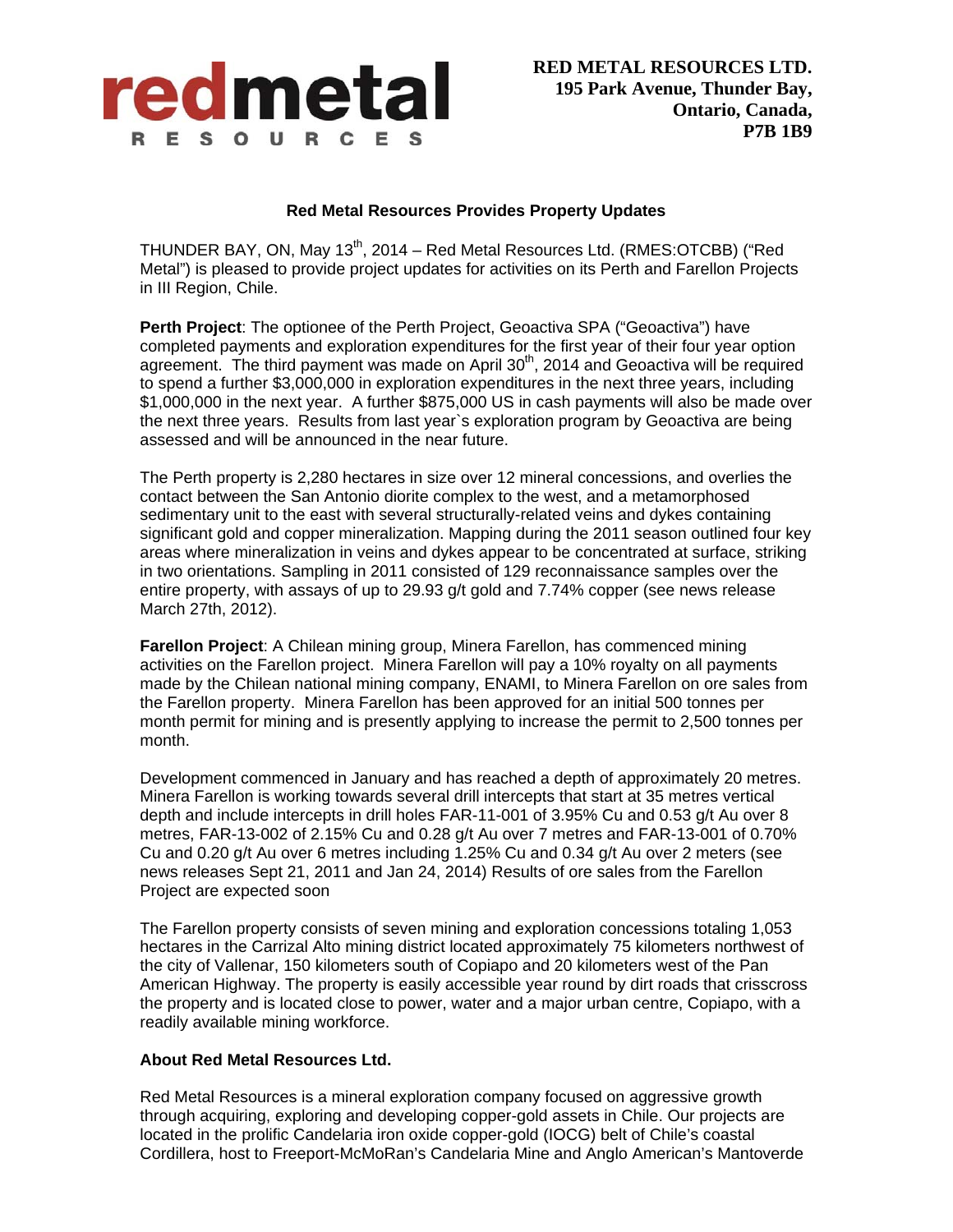

## **Red Metal Resources Provides Property Updates**

THUNDER BAY, ON, May 13<sup>th</sup>, 2014 – Red Metal Resources Ltd. (RMES:OTCBB) ("Red Metal") is pleased to provide project updates for activities on its Perth and Farellon Projects in III Region, Chile.

**Perth Project:** The optionee of the Perth Project, Geoactiva SPA ("Geoactiva") have completed payments and exploration expenditures for the first year of their four year option agreement. The third payment was made on April  $30<sup>th</sup>$ , 2014 and Geoactiva will be required to spend a further \$3,000,000 in exploration expenditures in the next three years, including \$1,000,000 in the next year. A further \$875,000 US in cash payments will also be made over the next three years. Results from last year`s exploration program by Geoactiva are being assessed and will be announced in the near future.

The Perth property is 2,280 hectares in size over 12 mineral concessions, and overlies the contact between the San Antonio diorite complex to the west, and a metamorphosed sedimentary unit to the east with several structurally-related veins and dykes containing significant gold and copper mineralization. Mapping during the 2011 season outlined four key areas where mineralization in veins and dykes appear to be concentrated at surface, striking in two orientations. Sampling in 2011 consisted of 129 reconnaissance samples over the entire property, with assays of up to 29.93 g/t gold and 7.74% copper (see news release March 27th, 2012).

**Farellon Project**: A Chilean mining group, Minera Farellon, has commenced mining activities on the Farellon project. Minera Farellon will pay a 10% royalty on all payments made by the Chilean national mining company, ENAMI, to Minera Farellon on ore sales from the Farellon property. Minera Farellon has been approved for an initial 500 tonnes per month permit for mining and is presently applying to increase the permit to 2,500 tonnes per month.

Development commenced in January and has reached a depth of approximately 20 metres. Minera Farellon is working towards several drill intercepts that start at 35 metres vertical depth and include intercepts in drill holes FAR-11-001 of 3.95% Cu and 0.53 g/t Au over 8 metres, FAR-13-002 of 2.15% Cu and 0.28 g/t Au over 7 metres and FAR-13-001 of 0.70% Cu and 0.20 g/t Au over 6 metres including 1.25% Cu and 0.34 g/t Au over 2 meters (see news releases Sept 21, 2011 and Jan 24, 2014) Results of ore sales from the Farellon Project are expected soon

The Farellon property consists of seven mining and exploration concessions totaling 1,053 hectares in the Carrizal Alto mining district located approximately 75 kilometers northwest of the city of Vallenar, 150 kilometers south of Copiapo and 20 kilometers west of the Pan American Highway. The property is easily accessible year round by dirt roads that crisscross the property and is located close to power, water and a major urban centre, Copiapo, with a readily available mining workforce.

## **About Red Metal Resources Ltd.**

Red Metal Resources is a mineral exploration company focused on aggressive growth through acquiring, exploring and developing copper-gold assets in Chile. Our projects are located in the prolific Candelaria iron oxide copper-gold (IOCG) belt of Chile's coastal Cordillera, host to Freeport-McMoRan's Candelaria Mine and Anglo American's Mantoverde